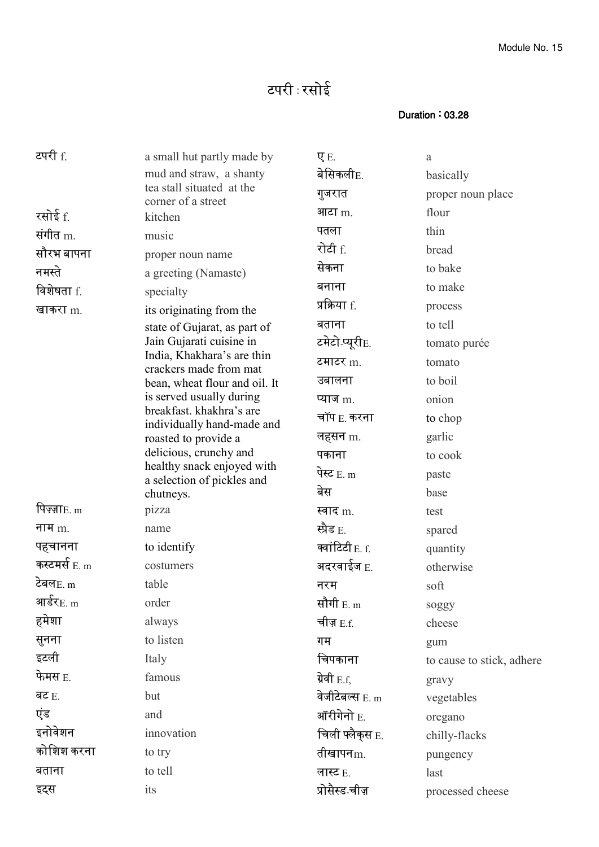## टपरी : रसोई

Duration : 03.28

| टपरी f.                | a small hut partly made by                                                         | ŲЕ.                     | a                         |
|------------------------|------------------------------------------------------------------------------------|-------------------------|---------------------------|
|                        | mud and straw, a shanty                                                            | बेसिकली $_{\rm E.}$     | basically                 |
|                        | tea stall situated at the<br>corner of a street                                    | गुजरात                  | proper noun place         |
| रसोई f.                | kitchen                                                                            | आटा <sub>m.</sub>       | flour                     |
| संगीत $m$ .            | music                                                                              | पतला                    | thin                      |
| सौरभ बापना             | proper noun name                                                                   | रोटी f.                 | bread                     |
| नमस्ते                 | a greeting (Namaste)                                                               | सेकना                   | to bake                   |
| विशेषता f.             | specialty                                                                          | बनाना                   | to make                   |
| खाकरा $m$ .            | its originating from the                                                           | प्रक्रिया f.            | process                   |
|                        | state of Gujarat, as part of                                                       | बताना                   | to tell                   |
|                        | Jain Gujarati cuisine in                                                           | टमेटो प्यूरीE.          | tomato purée              |
|                        | India, Khakhara's are thin<br>crackers made from mat                               | टमाटर m.                | tomato                    |
|                        | bean, wheat flour and oil. It                                                      | उबालना                  | to boil                   |
|                        | is served usually during<br>breakfast, khakhra's are<br>individually hand-made and | प्याज m.                | onion                     |
|                        |                                                                                    | चॉप $E$ . करना          | to chop                   |
|                        | roasted to provide a                                                               | लहसन m.                 | garlic                    |
|                        | delicious, crunchy and                                                             | पकाना                   | to cook                   |
|                        | healthy snack enjoyed with<br>a selection of pickles and                           | पेस्ट $E$ . m           | paste                     |
|                        | chutneys.                                                                          | बेस                     | base                      |
| पिज़्ज़ा $E_{\rm m}$   | pizza                                                                              | स्वाद m.                | test                      |
| नाम $m$ .              | name                                                                               | स्प्रैड E.              | spared                    |
| पहचानना                | to identify                                                                        | क्वांटिटी E. f.         | quantity                  |
| कस्टमर्स $_{\rm E.~m}$ | costumers                                                                          | अदरवाईज $_{\rm E.}$     | otherwise                 |
| टेबलE.m                | table                                                                              | नरम                     | soft                      |
| आर्डर <sub>E. m</sub>  | order                                                                              | सौगी $E.m$              | soggy                     |
| हमेशा                  | always                                                                             | चीज़ $E.f.$             | cheese                    |
| सुनना                  | to listen                                                                          | गम                      | gum                       |
| इटली                   | Italy                                                                              | चिपकाना                 | to cause to stick, adhere |
| फेमस $E$               | famous                                                                             | ग्रेवी $E.f.$           | gravy                     |
| बट $E$                 | but                                                                                | वेजीटेबल्स E.m          | vegetables                |
| एंड                    | and                                                                                | ऑरीगेनो $_{\rm E.}$     | oregano                   |
| इनोवेशन                | innovation                                                                         | चिली फ्लैक् <b>स</b> E. | chilly-flacks             |
| कोशिश करना             | to try                                                                             | तीखापन <sub>m.</sub>    | pungency                  |
| बताना                  | to tell                                                                            | लास्ट $E$               | last                      |
| इट्स                   | its                                                                                | प्रोसैस्ड चीज़          | processed cheese          |